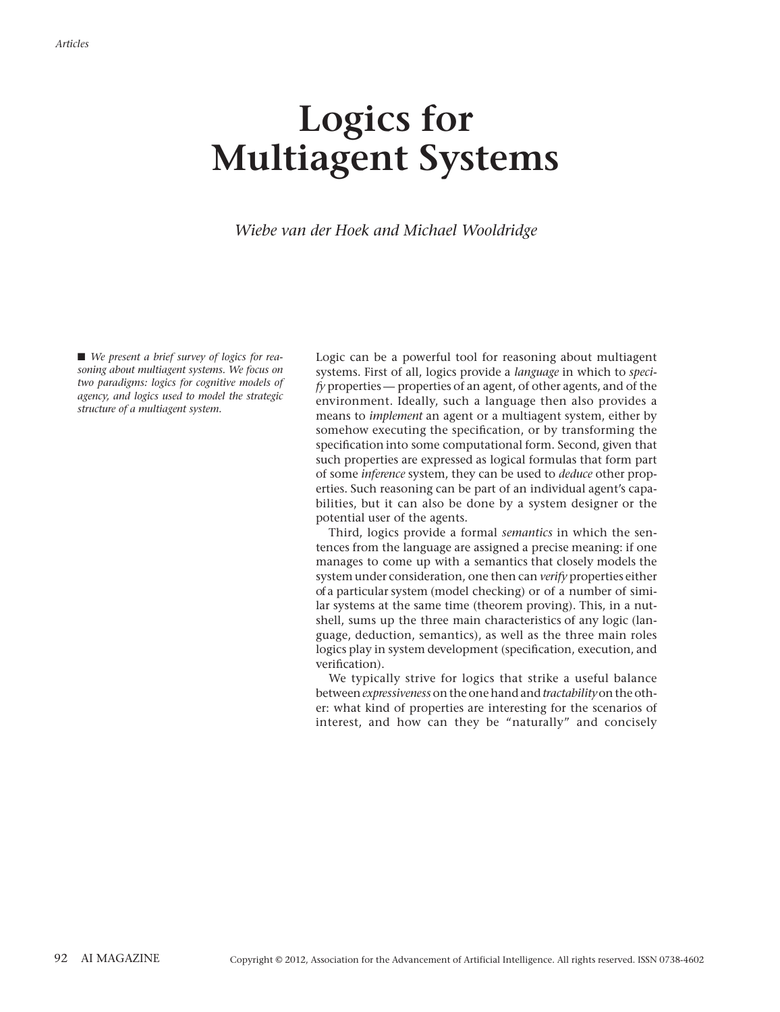# **Logics for Multiagent Systems**

*Wiebe van der Hoek and Michael Wooldridge*

■ *We present a brief survey of logics for reasoning about multiagent systems. We focus on two paradigms: logics for cognitive models of agency, and logics used to model the strategic structure of a multiagent system.*

Logic can be a powerful tool for reasoning about multiagent systems. First of all, logics provide a *language* in which to *specify* properties — properties of an agent, of other agents, and of the environment. Ideally, such a language then also provides a means to *implement* an agent or a multiagent system, either by somehow executing the specification, or by transforming the specification into some computational form. Second, given that such properties are expressed as logical formulas that form part of some *inference* system, they can be used to *deduce* other properties. Such reasoning can be part of an individual agent's capabilities, but it can also be done by a system designer or the potential user of the agents.

Third, logics provide a formal *semantics* in which the sentences from the language are assigned a precise meaning: if one manages to come up with a semantics that closely models the system under consideration, one then can *verify* properties either of a particular system (model checking) or of a number of similar systems at the same time (theorem proving). This, in a nutshell, sums up the three main characteristics of any logic (language, deduction, semantics), as well as the three main roles logics play in system development (specification, execution, and verification).

We typically strive for logics that strike a useful balance between*expressiveness* onthe onehandand*tractability*onthe other: what kind of properties are interesting for the scenarios of interest, and how can they be "naturally" and concisely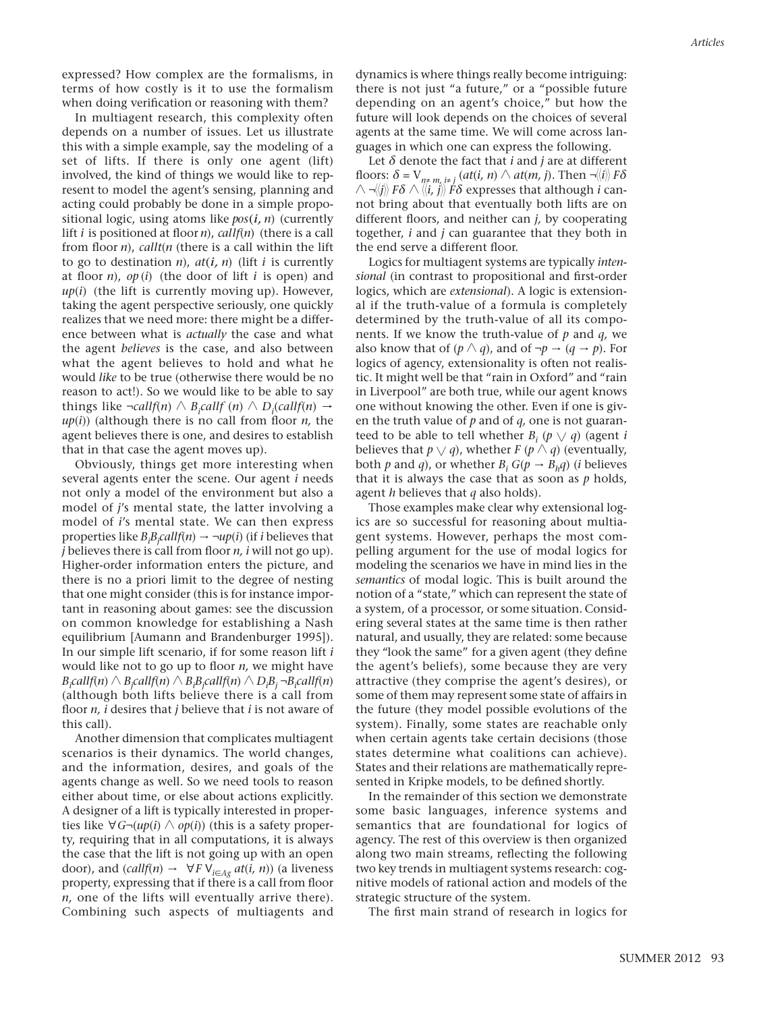expressed? How complex are the formalisms, in terms of how costly is it to use the formalism when doing verification or reasoning with them?

In multiagent research, this complexity often depends on a number of issues. Let us illustrate this with a simple example, say the modeling of a set of lifts. If there is only one agent (lift) involved, the kind of things we would like to represent to model the agent's sensing, planning and acting could probably be done in a simple propositional logic, using atoms like *pos*(*i, n*) (currently lift *i* is positioned at floor *n*), *callf*(*n*) (there is a call from floor *n*), *callt*(*n* (there is a call within the lift to go to destination *n*), *at*(*i, n*) (lift *i* is currently at floor *n*), *op* (*i*) (the door of lift *i* is open) and *up*(*i*) (the lift is currently moving up). However, taking the agent perspective seriously, one quickly realizes that we need more: there might be a difference between what is *actually* the case and what the agent *believes* is the case, and also between what the agent believes to hold and what he would *like* to be true (otherwise there would be no reason to act!). So we would like to be able to say things like  $\neg \text{call}(n) \land B_i \text{call}(n) \land D_i \text{call}(n) \rightarrow$ *up*(*i*)) (although there is no call from floor *n,* the agent believes there is one, and desires to establish that in that case the agent moves up).

Obviously, things get more interesting when several agents enter the scene. Our agent *i* needs not only a model of the environment but also a model of *j*'s mental state, the latter involving a model of *i*'s mental state. We can then express properties like  $B_i B_j$ callf(n)  $\rightarrow \neg up(i)$  (if *i* believes that *j* believes there is call from floor *n, i* will not go up). Higher-order information enters the picture, and there is no a priori limit to the degree of nesting that one might consider (this is for instance important in reasoning about games: see the discussion on common knowledge for establishing a Nash equilibrium [Aumann and Brandenburger 1995]). In our simple lift scenario, if for some reason lift *i* would like not to go up to floor *n,* we might have  $B_i$ callf(*n*)  $\land$   $B_j$ callf(*n*)  $\land$   $B_i$ B<sub>i</sub>callf(*n*)  $\land$   $D_i$ B<sub>i</sub> $\lnot$  ¬ $B_i$ callf(*n*) (although both lifts believe there is a call from floor *n, i* desires that *j* believe that *i* is not aware of this call).

Another dimension that complicates multiagent scenarios is their dynamics. The world changes, and the information, desires, and goals of the agents change as well. So we need tools to reason either about time, or else about actions explicitly. A designer of a lift is typically interested in properties like ∀*G*¬(*up*(*i*)  $\land$  *op*(*i*)) (this is a safety property, requiring that in all computations, it is always the case that the lift is not going up with an open door), and  $\left(\text{callf}(n) \rightarrow \forall F \, \mathsf{V}_{i \in Ag} \, \text{at}(i, n)\right)$  (a liveness property, expressing that if there is a call from floor *n,* one of the lifts will eventually arrive there). Combining such aspects of multiagents and

dynamics is where things really become intriguing: there is not just "a future," or a "possible future depending on an agent's choice," but how the future will look depends on the choices of several agents at the same time. We will come across languages in which one can express the following.

Let *δ* denote the fact that *i* and *j* are at different floors:  $\delta = V_{n \neq m, i \neq j} (at(i, n) \wedge at(m, j)$ . Then  $\neg \langle i \rangle F \delta$  $\land$  ¬ $\langle$ *j* $\rangle$  *Fδ*  $\land$   $\langle$ *i*, *j* $\rangle$  *fδ* expresses that although *i* cannot bring about that eventually both lifts are on different floors, and neither can *j,* by cooperating together, *i* and *j* can guarantee that they both in the end serve a different floor.

Logics for multiagent systems are typically *intensional* (in contrast to propositional and first-order logics, which are *extensional*). A logic is extensional if the truth-value of a formula is completely determined by the truth-value of all its components. If we know the truth-value of *p* and *q,* we also know that of  $(p \land q)$ , and of  $\neg p \rightarrow (q \rightarrow p)$ . For logics of agency, extensionality is often not realistic. It might well be that "rain in Oxford" and "rain in Liverpool" are both true, while our agent knows one without knowing the other. Even if one is given the truth value of *p* and of *q,* one is not guaranteed to be able to tell whether *B<sub>i</sub>* ( $p \vee q$ ) (agent *i* believes that  $p \vee q$ , whether  $F(p \wedge q)$  (eventually, both *p* and *q*), or whether *B*<sub>*i*</sub>  $G(p \rightarrow B_h q)$  (*i* believes that it is always the case that as soon as *p* holds, agent *h* believes that *q* also holds).

Those examples make clear why extensional logics are so successful for reasoning about multiagent systems. However, perhaps the most compelling argument for the use of modal logics for modeling the scenarios we have in mind lies in the *semantics* of modal logic. This is built around the notion of a "state," which can represent the state of a system, of a processor, or some situation. Considering several states at the same time is then rather natural, and usually, they are related: some because they "look the same" for a given agent (they define the agent's beliefs), some because they are very attractive (they comprise the agent's desires), or some of them may represent some state of affairs in the future (they model possible evolutions of the system). Finally, some states are reachable only when certain agents take certain decisions (those states determine what coalitions can achieve). States and their relations are mathematically represented in Kripke models, to be defined shortly.

In the remainder of this section we demonstrate some basic languages, inference systems and semantics that are foundational for logics of agency. The rest of this overview is then organized along two main streams, reflecting the following two key trends in multiagent systems research: cognitive models of rational action and models of the strategic structure of the system.

The first main strand of research in logics for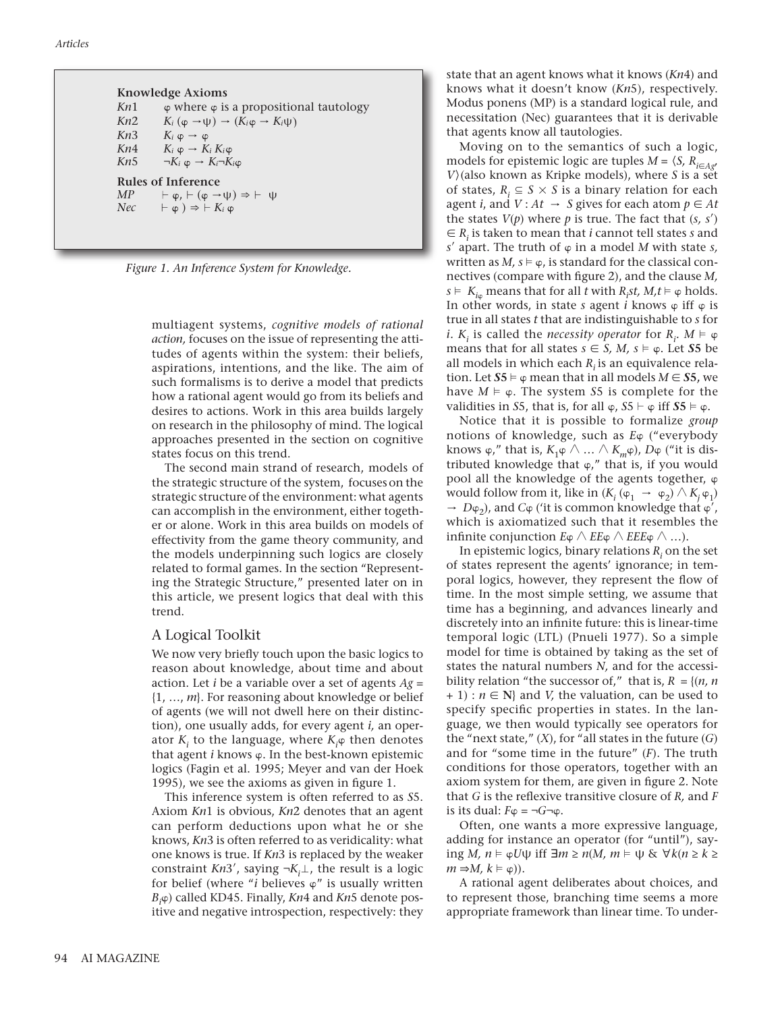|                   | <b>Knowledge Axioms</b>                                                                                                                                    |
|-------------------|------------------------------------------------------------------------------------------------------------------------------------------------------------|
| Kn1               | $\varphi$ where $\varphi$ is a propositional tautology                                                                                                     |
| Kn2               | $K_i$ ( $\varphi \to \psi$ ) $\to (K_i \varphi \to K_i \psi)$                                                                                              |
| Kn3               | $K_i \circ \rightarrow \circ$                                                                                                                              |
| Kn4               | $K_i \varphi \rightarrow K_i K_i \varphi$                                                                                                                  |
| Kn <sub>5</sub>   | $\neg K_i \n\varphi \rightarrow K_i \neg K_i \varphi$                                                                                                      |
| <i>MP</i><br>Nec. | Rules of Inference<br>$\vdash \varphi, \vdash (\varphi \rightarrow \psi) \Rightarrow \vdash \psi$<br>$\vdash \varphi$ ) $\Rightarrow$ $\vdash K_i \varphi$ |

*Figure 1. An Inference System for Knowledge.*

multiagent systems, *cognitive models of rational action,* focuses on the issue of representing the attitudes of agents within the system: their beliefs, aspirations, intentions, and the like. The aim of such formalisms is to derive a model that predicts how a rational agent would go from its beliefs and desires to actions. Work in this area builds largely on research in the philosophy of mind. The logical approaches presented in the section on cognitive states focus on this trend.

The second main strand of research, models of the strategic structure of the system, focuses on the strategic structure of the environment: what agents can accomplish in the environment, either together or alone. Work in this area builds on models of effectivity from the game theory community, and the models underpinning such logics are closely related to formal games. In the section "Representing the Strategic Structure," presented later on in this article, we present logics that deal with this trend.

## A Logical Toolkit

We now very briefly touch upon the basic logics to reason about knowledge, about time and about action. Let *i* be a variable over a set of agents *Ag* = {1, …, *m*}. For reasoning about knowledge or belief of agents (we will not dwell here on their distinction), one usually adds, for every agent *i,* an operator  $K_{\vec{i}}$  to the language, where  $K_{\vec{i}}$  then denotes that agent  $i$  knows  $\varphi$ . In the best-known epistemic logics (Fagin et al. 1995; Meyer and van der Hoek 1995), we see the axioms as given in figure 1.

This inference system is often referred to as *S*5. Axiom *Kn*1 is obvious, *Kn*2 denotes that an agent can perform deductions upon what he or she knows, *Kn*3 is often referred to as veridicality: what one knows is true. If *Kn*3 is replaced by the weaker constraint *Kn*3', saying ¬ $K_i \perp$ , the result is a logic for belief (where "*i* believes  $\varphi$ " is usually written *Bi* ) called KD45. Finally, *Kn*4 and *Kn*5 denote positive and negative introspection, respectively: they

state that an agent knows what it knows (*Kn*4) and knows what it doesn't know (*Kn*5), respectively. Modus ponens (MP) is a standard logical rule, and necessitation (Nec) guarantees that it is derivable that agents know all tautologies.

Moving on to the semantics of such a logic, models for epistemic logic are tuples  $M = \langle S, R_{i \in Ag'} \rangle$ *V* (also known as Kripke models), where *S* is a set of states,  $R_i \subseteq S \times S$  is a binary relation for each agent *i*, and  $V: At \rightarrow S$  gives for each atom  $p \in At$ the states  $V(p)$  where  $p$  is true. The fact that  $(s, s')$  $E \in R_i$  *is taken to mean that <i>i* cannot tell states *s* and  $s'$  apart. The truth of  $\varphi$  in a model *M* with state *s*, written as  $M$ ,  $s \models \varphi$ , is standard for the classical connectives (compare with figure 2), and the clause *M,*  $s \vDash K_{i\varphi}$  means that for all *t* with  $R_i$ st,  $M_t \vDash \varphi$  holds. In other words, in state *s* agent *i* knows  $\varphi$  iff  $\varphi$  is true in all states *t* that are indistinguishable to *s* for *i.*  $K_i$  is called the *necessity operator* for  $R_i$ .  $M \models \varphi$ means that for all states  $s \in S$ ,  $M$ ,  $s \models \varphi$ . Let **S5** be all models in which each *Ri* is an equivalence relation. Let  $S5 \models \varphi$  mean that in all models  $M \in S5$ , we have  $M \models \varphi$ . The system *S*5 is complete for the validities in *S*5, that is, for all  $\varphi$ , *S*5  $\vdash \varphi$  iff *S*5  $\models \varphi$ .

Notice that it is possible to formalize *group* notions of knowledge, such as  $E\varphi$  ("everybody knows  $\varphi$ ," that is,  $K_1 \varphi \wedge ... \wedge K_m \varphi$ ),  $D\varphi$  ("it is distributed knowledge that  $\varphi$ ," that is, if you would pool all the knowledge of the agents together,  $\varphi$ would follow from it, like in  $(K_i (\varphi_1 \rightarrow \varphi_2) \wedge K_i \varphi_1)$  $\rightarrow$  D $\varphi$ <sub>2</sub>), and C $\varphi$  ('it is common knowledge that  $\varphi'$ , which is axiomatized such that it resembles the infinite conjunction  $E\varphi \wedge E E \varphi \wedge E E E \varphi \wedge ...$ ).

In epistemic logics, binary relations  $R_i$  on the set of states represent the agents' ignorance; in temporal logics, however, they represent the flow of time. In the most simple setting, we assume that time has a beginning, and advances linearly and discretely into an infinite future: this is linear-time temporal logic (LTL) (Pnueli 1977). So a simple model for time is obtained by taking as the set of states the natural numbers *N,* and for the accessibility relation "the successor of," that is,  $R = \{(n, n)\}$  $+ 1$ ) :  $n \in \mathbb{N}$  and *V*, the valuation, can be used to specify specific properties in states. In the language, we then would typically see operators for the "next state," (*X*), for "all states in the future (*G*) and for "some time in the future" (*F*). The truth conditions for those operators, together with an axiom system for them, are given in figure 2. Note that *G* is the reflexive transitive closure of *R,* and *F* is its dual:  $F\varphi = \neg G \neg \varphi$ .

Often, one wants a more expressive language, adding for instance an operator (for "until"), saying *M*,  $n \models \varphi U \psi$  iff  $\exists m \ge n(M, m \models \psi \& \forall k(n \ge k \ge$  $m \Rightarrow M, k \models \varphi$ ).

A rational agent deliberates about choices, and to represent those, branching time seems a more appropriate framework than linear time. To under-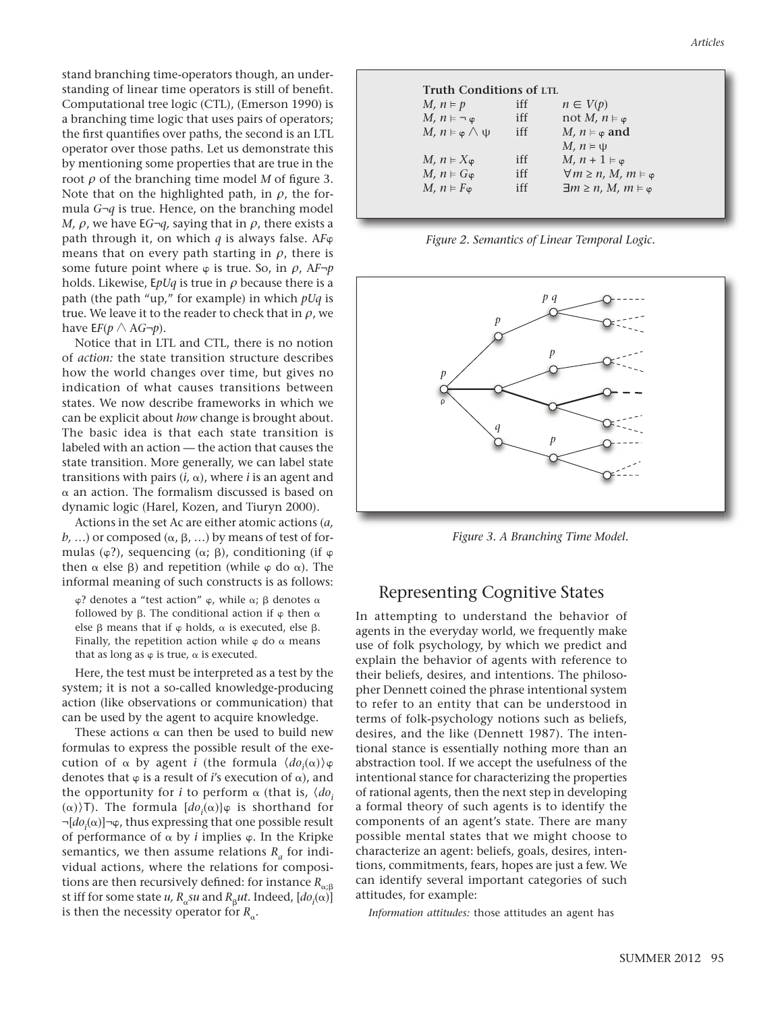stand branching time-operators though, an understanding of linear time operators is still of benefit. Computational tree logic (CTL), (Emerson 1990) is a branching time logic that uses pairs of operators; the first quantifies over paths, the second is an LTL operator over those paths. Let us demonstrate this by mentioning some properties that are true in the root  $ρ$  of the branching time model *M* of figure 3. Note that on the highlighted path, in  $\rho$ , the formula *G*¬*q* is true. Hence, on the branching model *M*,  $ρ$ , we have E*G* $\neg$ *q*, saying that in  $ρ$ , there exists a path through it, on which  $q$  is always false. A $F\varphi$ means that on every path starting in *ρ*, there is some future point where is true. So, in *ρ*, A*F*¬*p* holds. Likewise, E*pUq* is true in *ρ* because there is a path (the path "up," for example) in which *pUq* is true. We leave it to the reader to check that in *ρ*, we have  $E\mathbb{F}(p \wedge \text{AG} \neg p)$ .

Notice that in LTL and CTL, there is no notion of *action:* the state transition structure describes how the world changes over time, but gives no indication of what causes transitions between states. We now describe frameworks in which we can be explicit about *how* change is brought about. The basic idea is that each state transition is labeled with an action — the action that causes the state transition. More generally, we can label state transitions with pairs  $(i, \alpha)$ , where *i* is an agent and  $\alpha$  an action. The formalism discussed is based on dynamic logic (Harel, Kozen, and Tiuryn 2000).

Actions in the set Ac are either atomic actions (*a,*  $(b, \ldots)$  or composed  $(\alpha, \beta, \ldots)$  by means of test of formulas ( $\varphi$ ?), sequencing ( $\alpha$ ;  $\beta$ ), conditioning (if  $\varphi$ then  $\alpha$  else  $\beta$ ) and repetition (while  $\phi$  do  $\alpha$ ). The informal meaning of such constructs is as follows:

φ? denotes a "test action" φ, while  $\alpha$ ; β denotes  $\alpha$ followed by  $\beta$ . The conditional action if  $\varphi$  then  $\alpha$ else  $\beta$  means that if  $\varphi$  holds,  $\alpha$  is executed, else  $\beta$ . Finally, the repetition action while  $\varphi$  do  $\alpha$  means that as long as  $\varphi$  is true,  $\alpha$  is executed.

Here, the test must be interpreted as a test by the system; it is not a so-called knowledge-producing action (like observations or communication) that can be used by the agent to acquire knowledge.

These actions  $\alpha$  can then be used to build new formulas to express the possible result of the execution of  $\alpha$  by agent *i* (the formula  $\langle do_i(\alpha) \rangle \varphi$ denotes that  $\varphi$  is a result of *i*'s execution of  $\alpha$ ), and the opportunity for  $i$  to perform  $\alpha$  (that is,  $\langle do_i$  $(\alpha)$ )T). The formula  $[do_i(\alpha)]\varphi$  is shorthand for  $\neg [do_i(\alpha)]\neg \varphi$ , thus expressing that one possible result of performance of  $\alpha$  by *i* implies  $\varphi$ . In the Kripke semantics, we then assume relations  $R_a$  for individual actions, where the relations for compositions are then recursively defined: for instance  $R_{\alpha;\beta}$ st iff for some state  $u$ ,  $R_{\alpha}$ s $u$  and  $R_{\beta}$  $ut$ . Indeed,  $[do_i(\alpha)]$ is then the necessity operator for  $R_{\alpha}$ .

| M, $n \models p$                  | iff | $n \in V(p)$                             |
|-----------------------------------|-----|------------------------------------------|
| M, $n \models \neg \varphi$       | iff | not <i>M</i> , $n \models \varphi$       |
| M, $n \models \varphi \land \psi$ | iff | <i>M</i> , $n \models \varphi$ and       |
|                                   |     | M, $n \models \psi$                      |
| M, $n \in X_{\Phi}$               | iff | M, $n+1 \models \varphi$                 |
| M, $n \models G\varphi$           | iff | $\forall m \geq n, M, m \models \varphi$ |
| M, $n \models F_{\varphi}$        | iff | $\exists m \ge n, M, m \models \varphi$  |

*Figure 2. Semantics of Linear Temporal Logic.*



*Figure 3. A Branching Time Model.*

# Representing Cognitive States

In attempting to understand the behavior of agents in the everyday world, we frequently make use of folk psychology, by which we predict and explain the behavior of agents with reference to their beliefs, desires, and intentions. The philosopher Dennett coined the phrase intentional system to refer to an entity that can be understood in terms of folk-psychology notions such as beliefs, desires, and the like (Dennett 1987). The intentional stance is essentially nothing more than an abstraction tool. If we accept the usefulness of the intentional stance for characterizing the properties of rational agents, then the next step in developing a formal theory of such agents is to identify the components of an agent's state. There are many possible mental states that we might choose to characterize an agent: beliefs, goals, desires, intentions, commitments, fears, hopes are just a few. We can identify several important categories of such attitudes, for example:

*Information attitudes:* those attitudes an agent has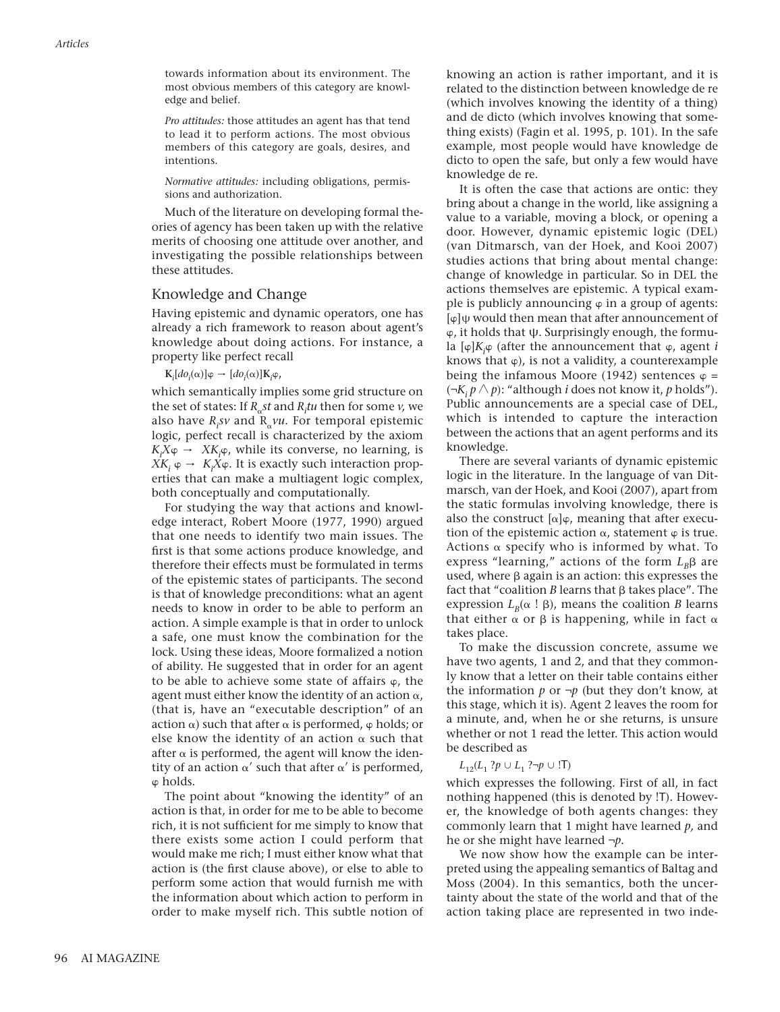towards information about its environment. The most obvious members of this category are knowledge and belief.

*Pro attitudes:* those attitudes an agent has that tend to lead it to perform actions. The most obvious members of this category are goals, desires, and intentions.

*Normative attitudes:* including obligations, permissions and authorization.

Much of the literature on developing formal theories of agency has been taken up with the relative merits of choosing one attitude over another, and investigating the possible relationships between these attitudes.

## Knowledge and Change

Having epistemic and dynamic operators, one has already a rich framework to reason about agent's knowledge about doing actions. For instance, a property like perfect recall

 $\mathbf{K}_i[do_i(\alpha)]\varphi \to [do_i(\alpha)]\mathbf{K}_i\varphi,$ 

which semantically implies some grid structure on the set of states: If  $R_{\alpha}$ s*t* and  $R_{i}$ *tu* then for some *v,* we also have *Ri sv* and R-*vu*. For temporal epistemic logic, perfect recall is characterized by the axiom  $K_i X \varphi \rightarrow X K_i \varphi$ , while its converse, no learning, is  $XK_i \varphi \rightarrow K_i X \varphi$ . It is exactly such interaction properties that can make a multiagent logic complex, both conceptually and computationally.

For studying the way that actions and knowledge interact, Robert Moore (1977, 1990) argued that one needs to identify two main issues. The first is that some actions produce knowledge, and therefore their effects must be formulated in terms of the epistemic states of participants. The second is that of knowledge preconditions: what an agent needs to know in order to be able to perform an action. A simple example is that in order to unlock a safe, one must know the combination for the lock. Using these ideas, Moore formalized a notion of ability. He suggested that in order for an agent to be able to achieve some state of affairs  $\varphi$ , the agent must either know the identity of an action  $\alpha$ , (that is, have an "executable description" of an action  $\alpha$ ) such that after  $\alpha$  is performed,  $\phi$  holds; or else know the identity of an action  $\alpha$  such that after  $\alpha$  is performed, the agent will know the identity of an action  $\alpha'$  such that after  $\alpha'$  is performed,  $\varphi$  holds.

The point about "knowing the identity" of an action is that, in order for me to be able to become rich, it is not sufficient for me simply to know that there exists some action I could perform that would make me rich; I must either know what that action is (the first clause above), or else to able to perform some action that would furnish me with the information about which action to perform in order to make myself rich. This subtle notion of knowing an action is rather important, and it is related to the distinction between knowledge de re (which involves knowing the identity of a thing) and de dicto (which involves knowing that something exists) (Fagin et al. 1995, p. 101). In the safe example, most people would have knowledge de dicto to open the safe, but only a few would have knowledge de re.

It is often the case that actions are ontic: they bring about a change in the world, like assigning a value to a variable, moving a block, or opening a door. However, dynamic epistemic logic (DEL) (van Ditmarsch, van der Hoek, and Kooi 2007) studies actions that bring about mental change: change of knowledge in particular. So in DEL the actions themselves are epistemic. A typical example is publicly announcing  $\varphi$  in a group of agents: []ψ would then mean that after announcement of  $\varphi$ , it holds that  $\psi$ . Surprisingly enough, the formula [φ] $K_i$ φ (after the announcement that φ, agent *i* knows that  $\varphi$ ), is not a validity, a counterexample being the infamous Moore (1942) sentences  $\varphi$  =  $(\neg K, p \land p)$ : "although *i* does not know it, *p* holds"). Public announcements are a special case of DEL, which is intended to capture the interaction between the actions that an agent performs and its knowledge.

There are several variants of dynamic epistemic logic in the literature. In the language of van Ditmarsch, van der Hoek, and Kooi (2007), apart from the static formulas involving knowledge, there is also the construct [ $\alpha$ ] $\varphi$ , meaning that after execution of the epistemic action  $\alpha$ , statement  $\varphi$  is true. Actions  $\alpha$  specify who is informed by what. To express "learning," actions of the form  $L_B\beta$  are used, where  $\beta$  again is an action: this expresses the fact that "coalition  $B$  learns that  $\beta$  takes place". The expression  $L_{B}(\alpha \, | \, \beta)$ , means the coalition *B* learns that either  $\alpha$  or  $\beta$  is happening, while in fact  $\alpha$ takes place.

To make the discussion concrete, assume we have two agents, 1 and 2, and that they commonly know that a letter on their table contains either the information  $p$  or  $\neg p$  (but they don't know, at this stage, which it is). Agent 2 leaves the room for a minute, and, when he or she returns, is unsure whether or not 1 read the letter. This action would be described as

## $L_{12}(L_1 ? p ∪ L_1 ?¬p ∪ !T)$

which expresses the following. First of all, in fact nothing happened (this is denoted by !T). However, the knowledge of both agents changes: they commonly learn that 1 might have learned *p,* and he or she might have learned ¬*p.*

We now show how the example can be interpreted using the appealing semantics of Baltag and Moss (2004). In this semantics, both the uncertainty about the state of the world and that of the action taking place are represented in two inde-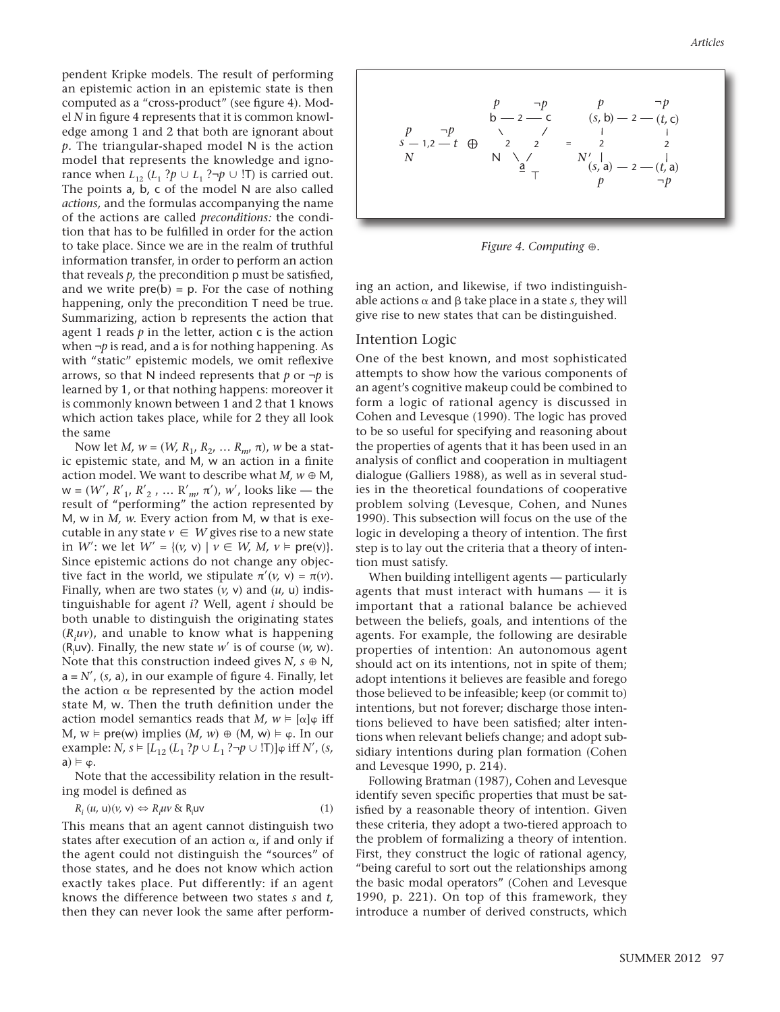pendent Kripke models. The result of performing an epistemic action in an epistemic state is then computed as a "cross-product" (see figure 4). Model *N* in figure 4 represents that it is common knowledge among 1 and 2 that both are ignorant about *p.* The triangular-shaped model N is the action model that represents the knowledge and ignorance when  $L_{12}$  ( $L_1$  ? $p \cup L_1$  ? $\neg p \cup$  !T) is carried out. The points a, b, c of the model N are also called *actions,* and the formulas accompanying the name of the actions are called *preconditions:* the condition that has to be fulfilled in order for the action to take place. Since we are in the realm of truthful information transfer, in order to perform an action that reveals *p,* the precondition p must be satisfied, and we write  $pre(b) = p$ . For the case of nothing happening, only the precondition T need be true. Summarizing, action b represents the action that agent 1 reads *p* in the letter, action c is the action when  $\neg p$  is read, and a is for nothing happening. As with "static" epistemic models, we omit reflexive arrows, so that N indeed represents that  $p$  or  $\neg p$  is learned by 1, or that nothing happens: moreover it is commonly known between 1 and 2 that 1 knows which action takes place, while for 2 they all look the same

Now let *M*,  $w = (W, R_1, R_2, \dots R_m, \pi)$ , *w* be a static epistemic state, and M, w an action in a finite action model. We want to describe what  $M$ ,  $w \oplus M$ ,  $w = (W', R'_{1}, R'_{2}, ... R'_{m}, \pi'), w'$ , looks like — the result of "performing" the action represented by M, w in *M, w.* Every action from M, w that is executable in any state  $v \in W$  gives rise to a new state in *W'*: we let  $W' = \{(v, v) | v \in W, M, v \models \text{pre}(v)\}.$ Since epistemic actions do not change any objective fact in the world, we stipulate  $\pi'(v, v) = \pi(v)$ . Finally, when are two states (*v,* v) and (*u,* u) indistinguishable for agent *i*? Well, agent *i* should be both unable to distinguish the originating states  $(R_iuv)$ , and unable to know what is happening  $(R_iuv)$ . Finally, the new state  $w'$  is of course  $(w, w)$ . Note that this construction indeed gives  $N$ ,  $s \oplus N$ ,  $a = N'$ ,  $(s, a)$ , in our example of figure 4. Finally, let the action  $\alpha$  be represented by the action model state M, w. Then the truth definition under the action model semantics reads that *M,*  $w \models [\alpha] \varphi$  iff  $M$ ,  $w$  ⊨ pre(*w*) implies (*M*, *w*) ⊕ (*M*, *w*) ⊨  $φ$ . In our example: *N*, *s* ⊨  $[L_{12} (L_1 ? p ∪ L_1 ? ¬ p ∪ !T)]$   $\varphi$  iff *N'*, (*s*,  $a) \models \varphi$ .

Note that the accessibility relation in the resulting model is defined as

$$
R_i(u, u)(v, v) \Leftrightarrow R_i uv \& R_i uv \tag{1}
$$

This means that an agent cannot distinguish two states after execution of an action  $\alpha$ , if and only if the agent could not distinguish the "sources" of those states, and he does not know which action exactly takes place. Put differently: if an agent knows the difference between two states *s* and *t,* then they can never look the same after perform-

$$
\begin{array}{ccccccccc}\np & -p & p & -p & p \\
b & -2 & c & (s, b) & -2 & -(t, c) \\
r & \gamma & / & & | & & | \\
s - 1, 2 & -t & \bigoplus & 2 & 2 & 2 & 2 \\
N & & N & / & & N' & | & & \\
\hline\n& & a & & & & p & & \n\end{array}
$$

*Figure 4. Computing* ⊕*.*

ing an action, and likewise, if two indistinguishable actions  $\alpha$  and  $\beta$  take place in a state *s*, they will give rise to new states that can be distinguished.

#### Intention Logic

One of the best known, and most sophisticated attempts to show how the various components of an agent's cognitive makeup could be combined to form a logic of rational agency is discussed in Cohen and Levesque (1990). The logic has proved to be so useful for specifying and reasoning about the properties of agents that it has been used in an analysis of conflict and cooperation in multiagent dialogue (Galliers 1988), as well as in several studies in the theoretical foundations of cooperative problem solving (Levesque, Cohen, and Nunes 1990). This subsection will focus on the use of the logic in developing a theory of intention. The first step is to lay out the criteria that a theory of intention must satisfy.

When building intelligent agents — particularly agents that must interact with humans — it is important that a rational balance be achieved between the beliefs, goals, and intentions of the agents. For example, the following are desirable properties of intention: An autonomous agent should act on its intentions, not in spite of them; adopt intentions it believes are feasible and forego those believed to be infeasible; keep (or commit to) intentions, but not forever; discharge those intentions believed to have been satisfied; alter intentions when relevant beliefs change; and adopt subsidiary intentions during plan formation (Cohen and Levesque 1990, p. 214).

Following Bratman (1987), Cohen and Levesque identify seven specific properties that must be satisfied by a reasonable theory of intention. Given these criteria, they adopt a two-tiered approach to the problem of formalizing a theory of intention. First, they construct the logic of rational agency, "being careful to sort out the relationships among the basic modal operators" (Cohen and Levesque 1990, p. 221). On top of this framework, they introduce a number of derived constructs, which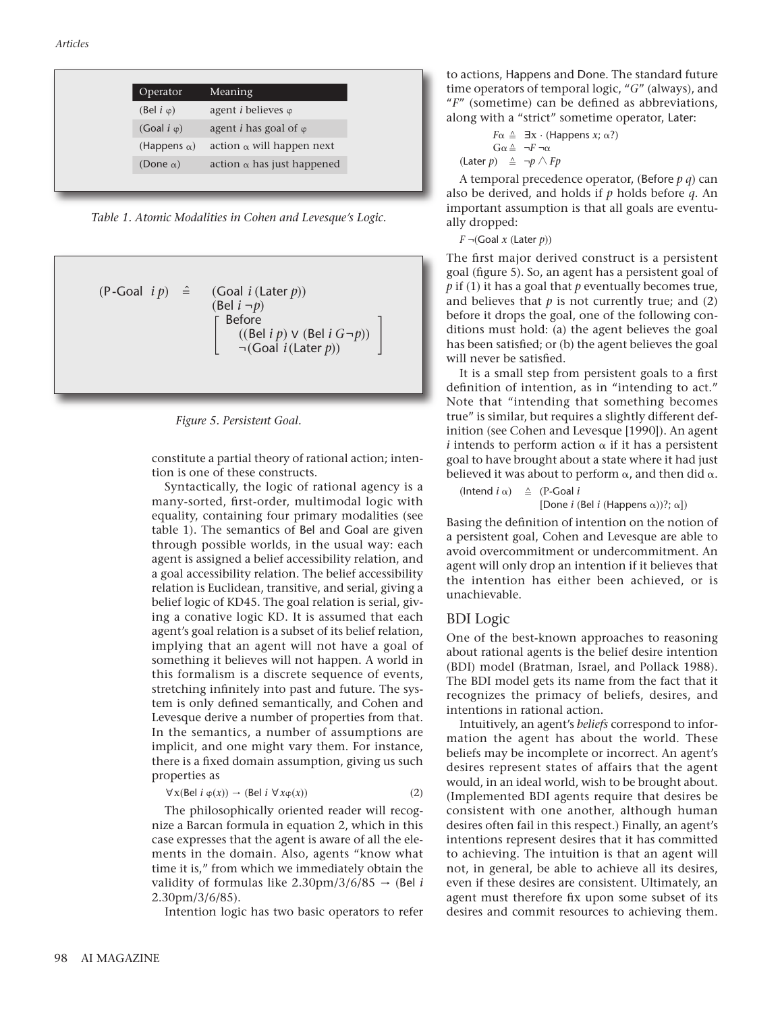| (Bel $i \varphi$ )<br>agent <i>i</i> believes $\varphi$<br>$(Goal\ i\ \varphi)$<br>agent <i>i</i> has goal of $\varphi$<br>action $\alpha$ will happen next<br>(Happens $\alpha$ )<br>action $\alpha$ has just happened<br>(Done $\alpha$ ) | Operator | Meaning |
|---------------------------------------------------------------------------------------------------------------------------------------------------------------------------------------------------------------------------------------------|----------|---------|
|                                                                                                                                                                                                                                             |          |         |
|                                                                                                                                                                                                                                             |          |         |
|                                                                                                                                                                                                                                             |          |         |
|                                                                                                                                                                                                                                             |          |         |

*Table 1. Atomic Modalities in Cohen and Levesque's Logic.*





constitute a partial theory of rational action; intention is one of these constructs.

Syntactically, the logic of rational agency is a many-sorted, first-order, multimodal logic with equality, containing four primary modalities (see table 1). The semantics of Bel and Goal are given through possible worlds, in the usual way: each agent is assigned a belief accessibility relation, and a goal accessibility relation. The belief accessibility relation is Euclidean, transitive, and serial, giving a belief logic of KD45. The goal relation is serial, giving a conative logic KD. It is assumed that each agent's goal relation is a subset of its belief relation, implying that an agent will not have a goal of something it believes will not happen. A world in this formalism is a discrete sequence of events, stretching infinitely into past and future. The system is only defined semantically, and Cohen and Levesque derive a number of properties from that. In the semantics, a number of assumptions are implicit, and one might vary them. For instance, there is a fixed domain assumption, giving us such properties as

$$
\forall x (\text{Bel } i \varphi(x)) \to (\text{Bel } i \forall x \varphi(x)) \tag{2}
$$

The philosophically oriented reader will recognize a Barcan formula in equation 2, which in this case expresses that the agent is aware of all the elements in the domain. Also, agents "know what time it is," from which we immediately obtain the validity of formulas like 2.30pm/3/6/85  $\rightarrow$  (Bel *i* 2.30pm/3/6/85).

Intention logic has two basic operators to refer

to actions, Happens and Done. The standard future time operators of temporal logic, "*G*" (always), and "*F*" (sometime) can be defined as abbreviations, along with a "strict" sometime operator, Later:

$$
F\alpha \triangleq \exists x \cdot (\text{Happens } x; \alpha?)
$$
  
 
$$
G\alpha \triangleq \neg F \neg \alpha
$$

(Later  $p$ )  $\triangleq \neg p \wedge Fp$ 

A temporal precedence operator, (Before *p q*) can also be derived, and holds if *p* holds before *q.* An important assumption is that all goals are eventually dropped:

### $F \neg$ (Goal *x* (Later  $p$ ))

The first major derived construct is a persistent goal (figure 5). So, an agent has a persistent goal of *p* if (1) it has a goal that *p* eventually becomes true, and believes that  $p$  is not currently true; and  $(2)$ before it drops the goal, one of the following conditions must hold: (a) the agent believes the goal has been satisfied; or (b) the agent believes the goal will never be satisfied.

It is a small step from persistent goals to a first definition of intention, as in "intending to act." Note that "intending that something becomes true" is similar, but requires a slightly different definition (see Cohen and Levesque [1990]). An agent  $i$  intends to perform action  $\alpha$  if it has a persistent goal to have brought about a state where it had just believed it was about to perform  $\alpha$ , and then did  $\alpha$ .

(Internal *i* α) 
$$
\triangleq
$$
 (P-Goal *i*  
[Done *i* (Bel *i* (Happens α))?; α])

Basing the definition of intention on the notion of a persistent goal, Cohen and Levesque are able to avoid overcommitment or undercommitment. An agent will only drop an intention if it believes that the intention has either been achieved, or is unachievable.

## BDI Logic

One of the best-known approaches to reasoning about rational agents is the belief desire intention (BDI) model (Bratman, Israel, and Pollack 1988). The BDI model gets its name from the fact that it recognizes the primacy of beliefs, desires, and intentions in rational action.

Intuitively, an agent's *beliefs* correspond to information the agent has about the world. These beliefs may be incomplete or incorrect. An agent's desires represent states of affairs that the agent would, in an ideal world, wish to be brought about. (Implemented BDI agents require that desires be consistent with one another, although human desires often fail in this respect.) Finally, an agent's intentions represent desires that it has committed to achieving. The intuition is that an agent will not, in general, be able to achieve all its desires, even if these desires are consistent. Ultimately, an agent must therefore fix upon some subset of its desires and commit resources to achieving them.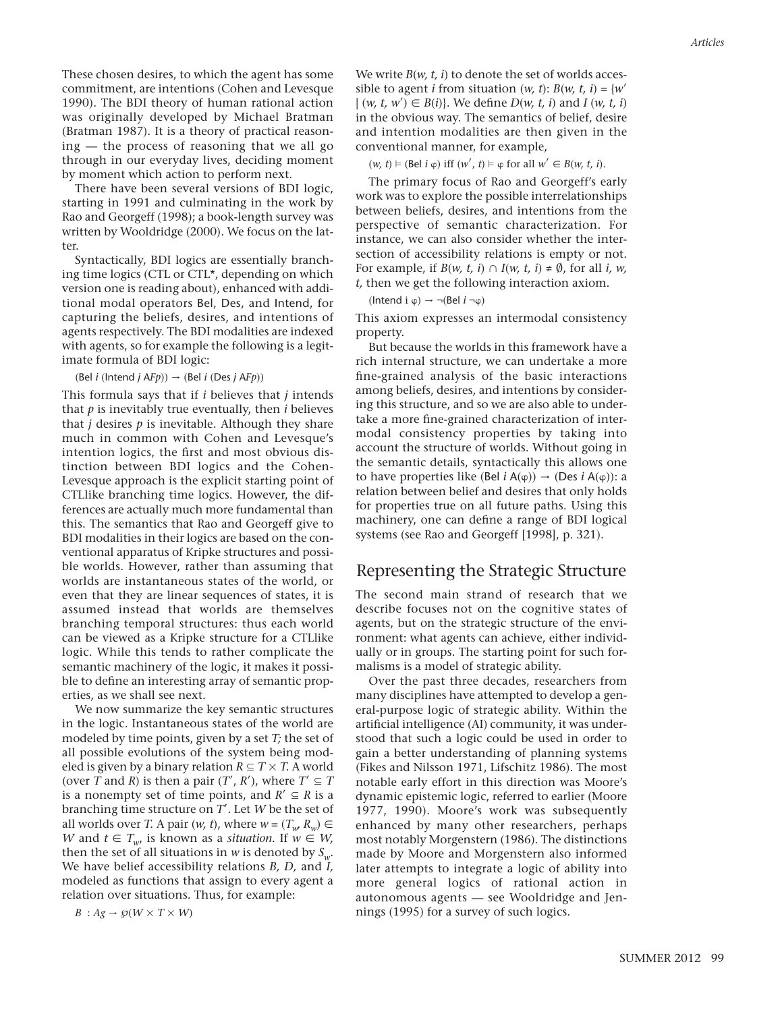These chosen desires, to which the agent has some commitment, are intentions (Cohen and Levesque 1990). The BDI theory of human rational action was originally developed by Michael Bratman (Bratman 1987). It is a theory of practical reasoning — the process of reasoning that we all go through in our everyday lives, deciding moment by moment which action to perform next.

There have been several versions of BDI logic, starting in 1991 and culminating in the work by Rao and Georgeff (1998); a book-length survey was written by Wooldridge (2000). We focus on the latter.

Syntactically, BDI logics are essentially branching time logics (CTL or CTL\*, depending on which version one is reading about), enhanced with additional modal operators Bel, Des, and Intend, for capturing the beliefs, desires, and intentions of agents respectively. The BDI modalities are indexed with agents, so for example the following is a legitimate formula of BDI logic:

#### $(Bel i (Internal j AFp)) \rightarrow (Bel i (Des j AFp))$

This formula says that if *i* believes that *j* intends that *p* is inevitably true eventually, then *i* believes that  $j$  desires  $p$  is inevitable. Although they share much in common with Cohen and Levesque's intention logics, the first and most obvious distinction between BDI logics and the Cohen-Levesque approach is the explicit starting point of CTLlike branching time logics. However, the differences are actually much more fundamental than this. The semantics that Rao and Georgeff give to BDI modalities in their logics are based on the conventional apparatus of Kripke structures and possible worlds. However, rather than assuming that worlds are instantaneous states of the world, or even that they are linear sequences of states, it is assumed instead that worlds are themselves branching temporal structures: thus each world can be viewed as a Kripke structure for a CTLlike logic. While this tends to rather complicate the semantic machinery of the logic, it makes it possible to define an interesting array of semantic properties, as we shall see next.

We now summarize the key semantic structures in the logic. Instantaneous states of the world are modeled by time points, given by a set *T;* the set of all possible evolutions of the system being modeled is given by a binary relation  $R \subseteq T \times T$ . A world (over *T* and *R*) is then a pair  $(T', R')$ , where  $T' \subseteq T$ is a nonempty set of time points, and  $R' \subseteq R$  is a branching time structure on *T*. Let *W* be the set of all worlds over *T*. A pair  $(w, t)$ , where  $w = (T_w, R_w) \in$ *W* and  $t \in T_w$  is known as a *situation*. If  $w \in W$ , then the set of all situations in *w* is denoted by  $S_{\omega}$ . We have belief accessibility relations *B, D,* and *I,* modeled as functions that assign to every agent a relation over situations. Thus, for example:

 $B: Ag \rightarrow \mathcal{P}(W \times T \times W)$ 

We write *B*(*w, t, i*) to denote the set of worlds accessible to agent *i* from situation  $(w, t)$ :  $B(w, t, i) = \{w' \}$  $(w, t, w') \in B(i)$ . We define  $D(w, t, i)$  and  $I(w, t, i)$ in the obvious way. The semantics of belief, desire and intention modalities are then given in the conventional manner, for example,

 $(w, t) \models (\text{Bel } i \varphi) \text{ iff } (w', t) \models \varphi \text{ for all } w' \in B(w, t, i).$ 

The primary focus of Rao and Georgeff's early work was to explore the possible interrelationships between beliefs, desires, and intentions from the perspective of semantic characterization. For instance, we can also consider whether the intersection of accessibility relations is empty or not. For example, if  $B(w, t, i) \cap I(w, t, i) \neq \emptyset$ , for all *i*, *w*, *t,* then we get the following interaction axiom.

(Intend i  $\varphi$ )  $\rightarrow \neg$ (Bel *i*  $\neg \varphi$ )

This axiom expresses an intermodal consistency property.

But because the worlds in this framework have a rich internal structure, we can undertake a more fine-grained analysis of the basic interactions among beliefs, desires, and intentions by considering this structure, and so we are also able to undertake a more fine-grained characterization of intermodal consistency properties by taking into account the structure of worlds. Without going in the semantic details, syntactically this allows one to have properties like (Bel *i* A( $\varphi$ ))  $\rightarrow$  (Des *i* A( $\varphi$ )): a relation between belief and desires that only holds for properties true on all future paths. Using this machinery, one can define a range of BDI logical systems (see Rao and Georgeff [1998], p. 321).

# Representing the Strategic Structure

The second main strand of research that we describe focuses not on the cognitive states of agents, but on the strategic structure of the environment: what agents can achieve, either individually or in groups. The starting point for such formalisms is a model of strategic ability.

Over the past three decades, researchers from many disciplines have attempted to develop a general-purpose logic of strategic ability. Within the artificial intelligence (AI) community, it was understood that such a logic could be used in order to gain a better understanding of planning systems (Fikes and Nilsson 1971, Lifschitz 1986). The most notable early effort in this direction was Moore's dynamic epistemic logic, referred to earlier (Moore 1977, 1990). Moore's work was subsequently enhanced by many other researchers, perhaps most notably Morgenstern (1986). The distinctions made by Moore and Morgenstern also informed later attempts to integrate a logic of ability into more general logics of rational action in autonomous agents — see Wooldridge and Jennings (1995) for a survey of such logics.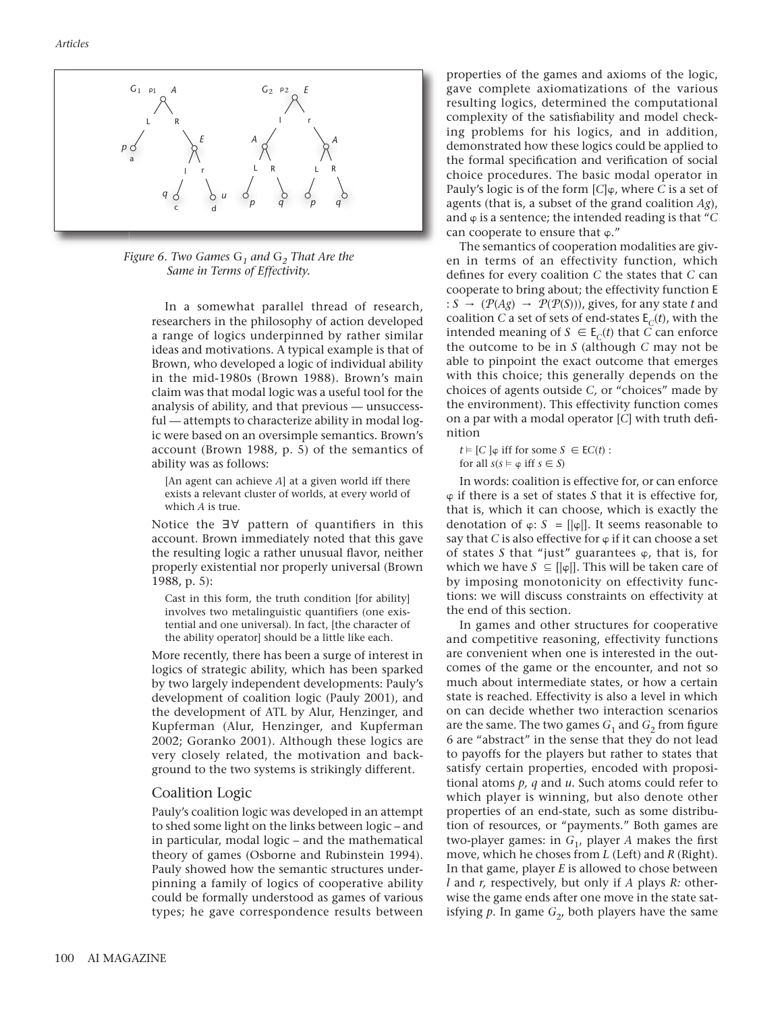

*Figure 6. Two Games* G*<sup>1</sup> and* G*<sup>2</sup> That Are the Same in Terms of Effectivity.*

In a somewhat parallel thread of research, researchers in the philosophy of action developed a range of logics underpinned by rather similar ideas and motivations. A typical example is that of Brown, who developed a logic of individual ability in the mid-1980s (Brown 1988). Brown's main claim was that modal logic was a useful tool for the analysis of ability, and that previous — unsuccessful — attempts to characterize ability in modal logic were based on an oversimple semantics. Brown's account (Brown 1988, p. 5) of the semantics of ability was as follows:

[An agent can achieve *A*] at a given world iff there exists a relevant cluster of worlds, at every world of which *A* is true.

Notice the ∃∀ pattern of quantifiers in this account. Brown immediately noted that this gave the resulting logic a rather unusual flavor, neither properly existential nor properly universal (Brown 1988, p. 5):

Cast in this form, the truth condition [for ability] involves two metalinguistic quantifiers (one existential and one universal). In fact, [the character of the ability operator] should be a little like each.

More recently, there has been a surge of interest in logics of strategic ability, which has been sparked by two largely independent developments: Pauly's development of coalition logic (Pauly 2001), and the development of ATL by Alur, Henzinger, and Kupferman (Alur, Henzinger, and Kupferman 2002; Goranko 2001). Although these logics are very closely related, the motivation and background to the two systems is strikingly different.

## Coalition Logic

Pauly's coalition logic was developed in an attempt to shed some light on the links between logic – and in particular, modal logic – and the mathematical theory of games (Osborne and Rubinstein 1994). Pauly showed how the semantic structures underpinning a family of logics of cooperative ability could be formally understood as games of various types; he gave correspondence results between

properties of the games and axioms of the logic, gave complete axiomatizations of the various resulting logics, determined the computational complexity of the satisfiability and model checking problems for his logics, and in addition, demonstrated how these logics could be applied to the formal specification and verification of social choice procedures. The basic modal operator in Pauly's logic is of the form  $[C]\varphi$ , where *C* is a set of agents (that is, a subset of the grand coalition *Ag*), and  $\varphi$  is a sentence; the intended reading is that " $C$ can cooperate to ensure that  $\varphi$ ."

The semantics of cooperation modalities are given in terms of an effectivity function, which defines for every coalition *C* the states that *C* can cooperate to bring about; the effectivity function E :  $S \rightarrow (P(Ag) \rightarrow P(P(S)))$ , gives, for any state *t* and coalition *C* a set of sets of end-states  $E_C(t)$ , with the intended meaning of  $S \in E_c(t)$  that *C* can enforce the outcome to be in *S* (although *C* may not be able to pinpoint the exact outcome that emerges with this choice; this generally depends on the choices of agents outside *C,* or "choices" made by the environment). This effectivity function comes on a par with a modal operator [*C*] with truth definition

 $t \in [C]$   $\varphi$  iff for some  $S \in EC(t)$ : for all  $s(s \models \varphi \text{ iff } s \in S)$ 

In words: coalition is effective for, or can enforce if there is a set of states *S* that it is effective for, that is, which it can choose, which is exactly the denotation of  $\varphi$ : *S* = [ $|\varphi|$ ]. It seems reasonable to say that *C* is also effective for  $\varphi$  if it can choose a set of states *S* that "just" guarantees  $\varphi$ , that is, for which we have *S* ⊆ [ $|\varphi|$ ]. This will be taken care of by imposing monotonicity on effectivity functions: we will discuss constraints on effectivity at the end of this section.

In games and other structures for cooperative and competitive reasoning, effectivity functions are convenient when one is interested in the outcomes of the game or the encounter, and not so much about intermediate states, or how a certain state is reached. Effectivity is also a level in which on can decide whether two interaction scenarios are the same. The two games  $G_1$  and  $G_2$  from figure 6 are "abstract" in the sense that they do not lead to payoffs for the players but rather to states that satisfy certain properties, encoded with propositional atoms *p, q* and *u.* Such atoms could refer to which player is winning, but also denote other properties of an end-state, such as some distribution of resources, or "payments." Both games are two-player games: in  $G_1$ , player *A* makes the first move, which he choses from *L* (Left) and *R* (Right). In that game, player *E* is allowed to chose between *l* and *r,* respectively, but only if *A* plays *R:* otherwise the game ends after one move in the state satisfying  $p$ . In game  $G_2$ , both players have the same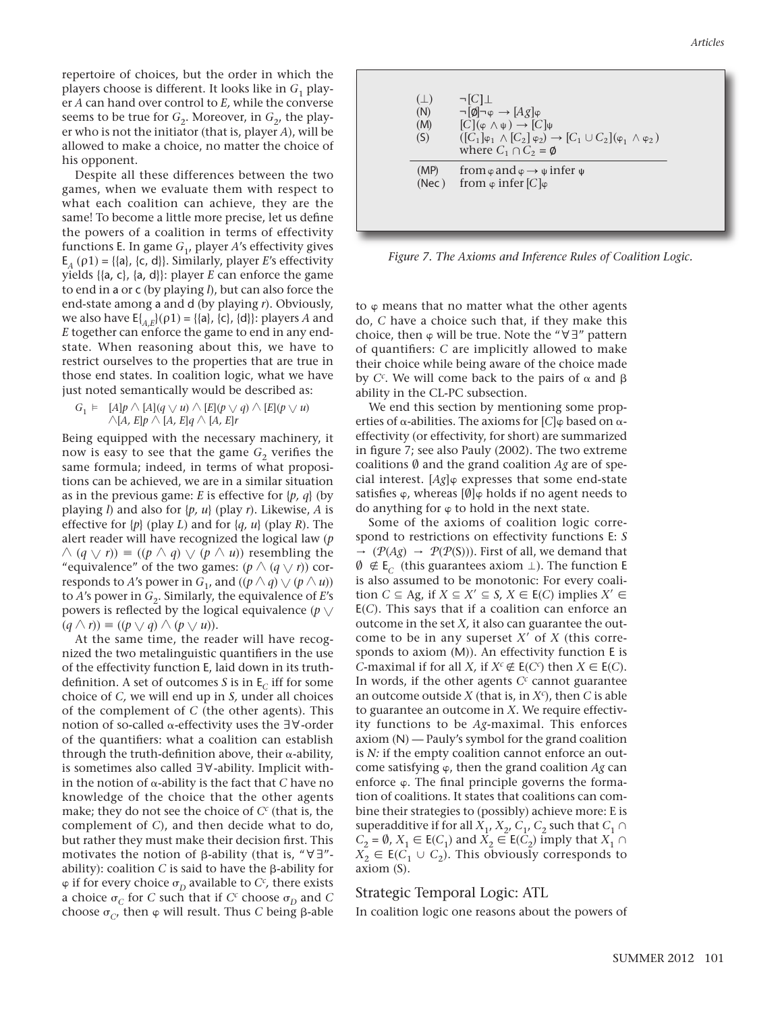repertoire of choices, but the order in which the players choose is different. It looks like in  $G_1$  player *A* can hand over control to *E,* while the converse seems to be true for  $G_2$ . Moreover, in  $G_2$ , the player who is not the initiator (that is, player *A*), will be allowed to make a choice, no matter the choice of his opponent.

Despite all these differences between the two games, when we evaluate them with respect to what each coalition can achieve, they are the same! To become a little more precise, let us define the powers of a coalition in terms of effectivity functions E. In game *G*<sub>1</sub>, player *A*'s effectivity gives  $E_A$  ( $\rho$ 1) = {{a}, {c, d}}. Similarly, player *E*'s effectivity yields {{a, c}, {a, d}}: player *E* can enforce the game to end in a or c (by playing *l*), but can also force the end-state among a and d (by playing *r*). Obviously, we also have  $E\{A_F\}(\rho 1) = \{\{a\}, \{c\}, \{d\}\}$ : players *A* and *E* together can enforce the game to end in any endstate. When reasoning about this, we have to restrict ourselves to the properties that are true in those end states. In coalition logic, what we have just noted semantically would be described as:

$$
G_1 \models \quad [A]p \land [A](q \lor u) \land [E](p \lor q) \land [E](p \lor u)
$$
  
 
$$
\land [A, E]p \land [A, E]q \land [A, E]r
$$

Being equipped with the necessary machinery, it now is easy to see that the game  $G_2$  verifies the same formula; indeed, in terms of what propositions can be achieved, we are in a similar situation as in the previous game: *E* is effective for {*p, q*} (by playing *l*) and also for {*p, u*} (play *r*). Likewise, *A* is effective for  $\{p\}$  (play *L*) and for  $\{q, u\}$  (play *R*). The alert reader will have recognized the logical law (*p*  $\wedge$   $(q \vee r)$ ) =  $((p \wedge q) \vee (p \wedge u))$  resembling the "equivalence" of the two games:  $(p \wedge (q \vee r))$  corresponds to *A*'s power in  $G_1$ , and  $((p \land q) \lor (p \land u))$ to *A*'s power in  $G_2$ . Similarly, the equivalence of *E*'s powers is reflected by the logical equivalence ( $p \vee p$  $(q \wedge r)$  =  $((p \vee q) \wedge (p \vee u)).$ 

At the same time, the reader will have recognized the two metalinguistic quantifiers in the use of the effectivity function E, laid down in its truthdefinition. A set of outcomes *S* is in  $E_C$  iff for some choice of *C,* we will end up in *S,* under all choices of the complement of *C* (the other agents). This notion of so-called α-effectivity uses the ∃∀-order of the quantifiers: what a coalition can establish through the truth-definition above, their  $\alpha$ -ability, is sometimes also called ∃∀-ability. Implicit within the notion of  $\alpha$ -ability is the fact that  $C$  have no knowledge of the choice that the other agents make; they do not see the choice of  $C^c$  (that is, the complement of *C*), and then decide what to do, but rather they must make their decision first. This motivates the notion of  $\beta$ -ability (that is, "∀∃"ability): coalition  $C$  is said to have the  $\beta$ -ability for  $\varphi$  if for every choice  $\sigma_D$  available to  $C^c$ , there exists a choice  $\sigma_C$  for *C* such that if *C<sup>c</sup>* choose  $\sigma_D$  and *C* choose  $\sigma_C$ , then  $\varphi$  will result. Thus *C* being  $\beta$ -able

 $\neg [C] \bot$  $(N) \qquad \neg [\emptyset] \neg \varphi \rightarrow [Ag] \varphi$ (M)  $[C](\varphi \wedge \psi) \rightarrow [C]\psi$ <br>(S)  $([C_1]\varphi_1 \wedge [C_2]\varphi_2)$  - $([C_1]_{\varphi_1} \wedge [C_2]_{\varphi_2}) \rightarrow [C_1 \cup C_2](\varphi_1 \wedge \varphi_2)$ where  $C_1 \cap C_2 = \emptyset$ (MP) from  $\varphi$  and  $\varphi \rightarrow \psi$  infer  $\psi$ (Nec) from  $\varphi$  infer  $[C]\varphi$ (⊥)

*Figure 7. The Axioms and Inference Rules of Coalition Logic.*

to  $\varphi$  means that no matter what the other agents do, *C* have a choice such that, if they make this choice, then  $\varphi$  will be true. Note the "∀∃" pattern of quantifiers: *C* are implicitly allowed to make their choice while being aware of the choice made by  $C^c$ . We will come back to the pairs of  $\alpha$  and  $\beta$ ability in the CL-PC subsection.

We end this section by mentioning some properties of  $\alpha$ -abilities. The axioms for [C] $\varphi$  based on  $\alpha$ effectivity (or effectivity, for short) are summarized in figure 7; see also Pauly (2002). The two extreme coalitions  $\emptyset$  and the grand coalition Ag are of special interest. [*Ag*] expresses that some end-state satisfies φ, whereas [Ø]φ holds if no agent needs to do anything for  $\varphi$  to hold in the next state.

Some of the axioms of coalition logic correspond to restrictions on effectivity functions E: *S*  $\rightarrow$  ( $P(Ag)$ )  $\rightarrow$   $P(P(S))$ ). First of all, we demand that  $\emptyset \notin {\sf{E}}_C$  (this guarantees axiom  $\bot$ ). The function **E** is also assumed to be monotonic: For every coalition *C* ⊆ Ag, if  $X \subseteq X' \subseteq S$ ,  $X \in E(C)$  implies  $X' \in$ E(*C*). This says that if a coalition can enforce an outcome in the set *X,* it also can guarantee the outcome to be in any superset  $X'$  of  $X$  (this corresponds to axiom (M)). An effectivity function E is *C*-maximal if for all *X*, if  $X^c \notin E(C^c)$  then  $X \in E(C)$ . In words, if the other agents  $C^c$  cannot guarantee an outcome outside  $X$  (that is, in  $X^c$ ), then  $C$  is able to guarantee an outcome in *X.* We require effectivity functions to be *Ag*-maximal. This enforces axiom (N) — Pauly's symbol for the grand coalition is *N:* if the empty coalition cannot enforce an outcome satisfying  $\varphi$ , then the grand coalition  $Ag$  can enforce  $\varphi$ . The final principle governs the formation of coalitions. It states that coalitions can combine their strategies to (possibly) achieve more: E is superadditive if for all  $X_1$ ,  $X_2$ ,  $C_1$ ,  $C_2$  such that  $C_1 \cap C_2$  $C_2 = \emptyset$ ,  $X_1 \in E(C_1)$  and  $X_2 \in E(C_2)$  imply that  $X_1 \cap$  $X_2$  ∈ E( $C_1$  ∪  $C_2$ ). This obviously corresponds to axiom (S).

#### Strategic Temporal Logic: ATL

In coalition logic one reasons about the powers of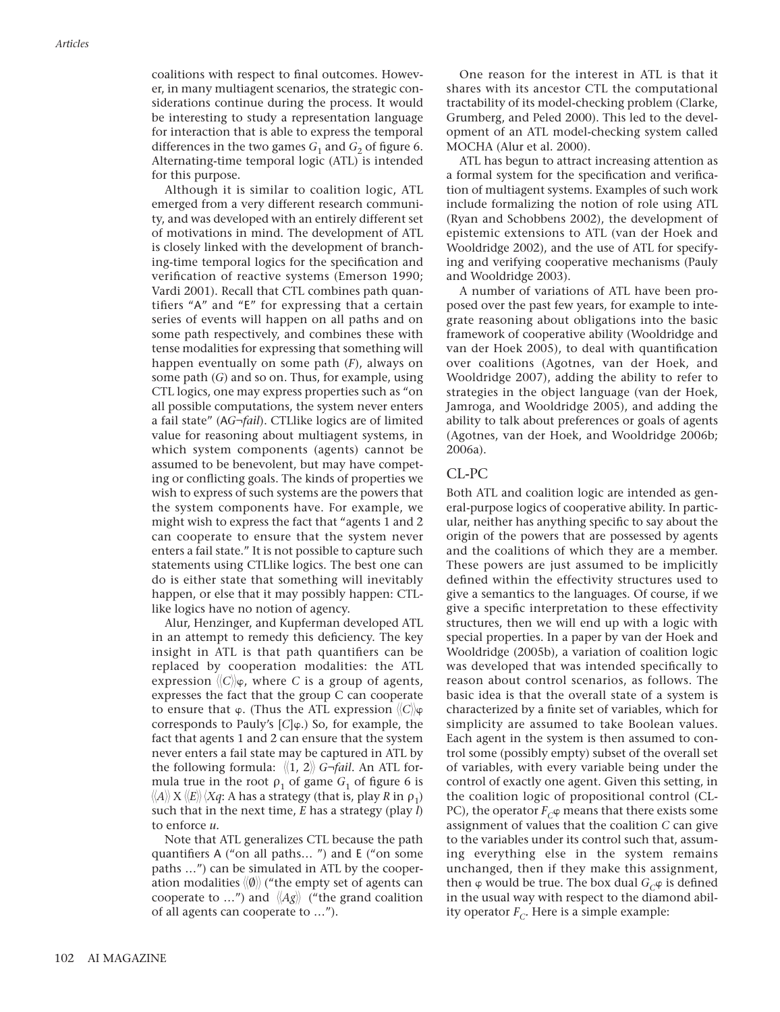coalitions with respect to final outcomes. However, in many multiagent scenarios, the strategic considerations continue during the process. It would be interesting to study a representation language for interaction that is able to express the temporal differences in the two games  $G_1$  and  $G_2$  of figure 6. Alternating-time temporal logic (ATL) is intended for this purpose.

Although it is similar to coalition logic, ATL emerged from a very different research community, and was developed with an entirely different set of motivations in mind. The development of ATL is closely linked with the development of branching-time temporal logics for the specification and verification of reactive systems (Emerson 1990; Vardi 2001). Recall that CTL combines path quantifiers "A" and "E" for expressing that a certain series of events will happen on all paths and on some path respectively, and combines these with tense modalities for expressing that something will happen eventually on some path (*F*), always on some path (*G*) and so on. Thus, for example, using CTL logics, one may express properties such as "on all possible computations, the system never enters a fail state" (A*G*¬*fail*). CTLlike logics are of limited value for reasoning about multiagent systems, in which system components (agents) cannot be assumed to be benevolent, but may have competing or conflicting goals. The kinds of properties we wish to express of such systems are the powers that the system components have. For example, we might wish to express the fact that "agents 1 and 2 can cooperate to ensure that the system never enters a fail state." It is not possible to capture such statements using CTLlike logics. The best one can do is either state that something will inevitably happen, or else that it may possibly happen: CTLlike logics have no notion of agency.

Alur, Henzinger, and Kupferman developed ATL in an attempt to remedy this deficiency. The key insight in ATL is that path quantifiers can be replaced by cooperation modalities: the ATL expression  $\langle C \rangle \varphi$ , where *C* is a group of agents, expresses the fact that the group C can cooperate to ensure that  $\varphi$ . (Thus the ATL expression  $\langle C \rangle \varphi$ corresponds to Pauly's  $[C]\varphi$ .) So, for example, the fact that agents 1 and 2 can ensure that the system never enters a fail state may be captured in ATL by the following formula:  $\langle 1, 2 \rangle$  *G*-*fail*. An ATL formula true in the root  $\rho_1$  of game  $G_1$  of figure 6 is  $\langle A \rangle \rangle$  *X*  $\langle E \rangle \langle Xq$ : A has a strategy (that is, play *R* in  $\rho_1$ ) such that in the next time, *E* has a strategy (play *l*) to enforce *u.*

Note that ATL generalizes CTL because the path quantifiers A ("on all paths… ") and E ("on some paths …") can be simulated in ATL by the cooperation modalities  $\left\langle \emptyset\right\rangle$  ("the empty set of agents can cooperate to ...") and  $\langle A g \rangle$  ("the grand coalition") of all agents can cooperate to …").

One reason for the interest in ATL is that it shares with its ancestor CTL the computational tractability of its model-checking problem (Clarke, Grumberg, and Peled 2000). This led to the development of an ATL model-checking system called MOCHA (Alur et al. 2000).

ATL has begun to attract increasing attention as a formal system for the specification and verification of multiagent systems. Examples of such work include formalizing the notion of role using ATL (Ryan and Schobbens 2002), the development of epistemic extensions to ATL (van der Hoek and Wooldridge 2002), and the use of ATL for specifying and verifying cooperative mechanisms (Pauly and Wooldridge 2003).

A number of variations of ATL have been proposed over the past few years, for example to integrate reasoning about obligations into the basic framework of cooperative ability (Wooldridge and van der Hoek 2005), to deal with quantification over coalitions (Agotnes, van der Hoek, and Wooldridge 2007), adding the ability to refer to strategies in the object language (van der Hoek, Jamroga, and Wooldridge 2005), and adding the ability to talk about preferences or goals of agents (Agotnes, van der Hoek, and Wooldridge 2006b; 2006a).

## CL-PC

Both ATL and coalition logic are intended as general-purpose logics of cooperative ability. In particular, neither has anything specific to say about the origin of the powers that are possessed by agents and the coalitions of which they are a member. These powers are just assumed to be implicitly defined within the effectivity structures used to give a semantics to the languages. Of course, if we give a specific interpretation to these effectivity structures, then we will end up with a logic with special properties. In a paper by van der Hoek and Wooldridge (2005b), a variation of coalition logic was developed that was intended specifically to reason about control scenarios, as follows. The basic idea is that the overall state of a system is characterized by a finite set of variables, which for simplicity are assumed to take Boolean values. Each agent in the system is then assumed to control some (possibly empty) subset of the overall set of variables, with every variable being under the control of exactly one agent. Given this setting, in the coalition logic of propositional control (CL-PC), the operator  $F_{C}\varphi$  means that there exists some assignment of values that the coalition *C* can give to the variables under its control such that, assuming everything else in the system remains unchanged, then if they make this assignment, then  $\varphi$  would be true. The box dual  $G_C\varphi$  is defined in the usual way with respect to the diamond ability operator  $F_C$ . Here is a simple example: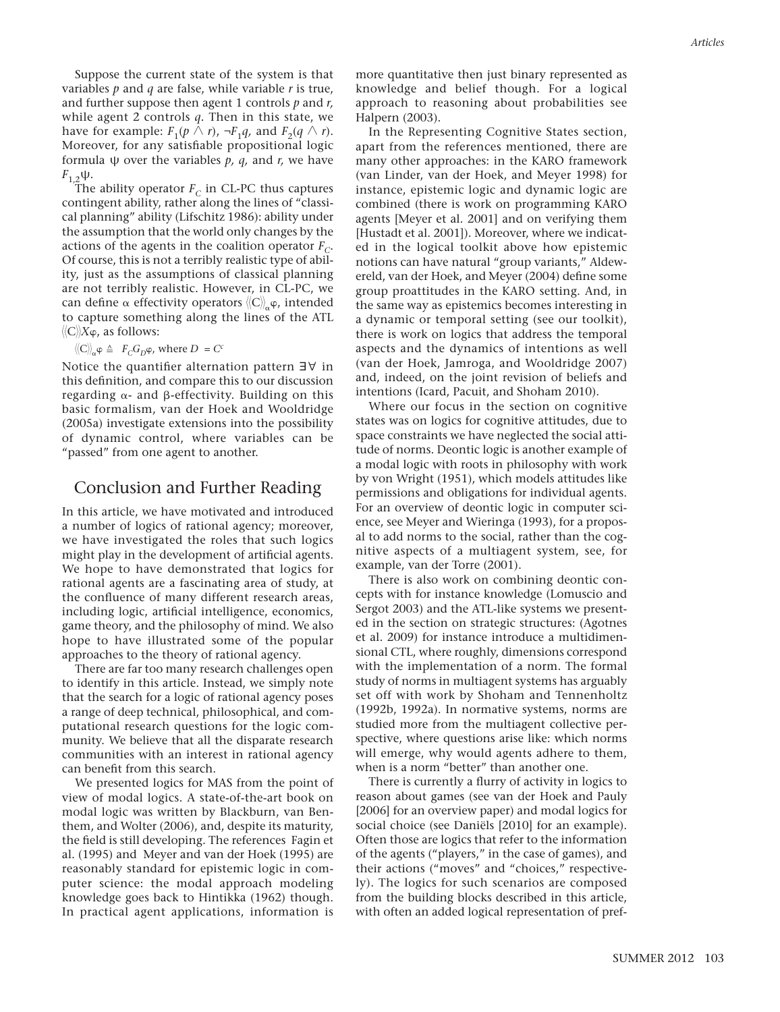Suppose the current state of the system is that variables *p* and *q* are false, while variable *r* is true, and further suppose then agent 1 controls *p* and *r,* while agent 2 controls *q.* Then in this state, we have for example:  $F_1(p \wedge r)$ ,  $\neg F_1q$ , and  $F_2(q \wedge r)$ . Moreover, for any satisfiable propositional logic formula ψ over the variables *p, q,* and *r,* we have *F*<sub>1,2</sub>Ψ.

The ability operator  $F_C$  in CL-PC thus captures contingent ability, rather along the lines of "classical planning" ability (Lifschitz 1986): ability under the assumption that the world only changes by the actions of the agents in the coalition operator  $F_C$ . Of course, this is not a terribly realistic type of ability, just as the assumptions of classical planning are not terribly realistic. However, in CL-PC, we can define  $\alpha$  effectivity operators  $\langle\!\langle C\rangle\!\rangle_\alpha$ φ, intended to capture something along the lines of the ATL  $\langle\!\langle C\rangle\!\rangle X\varphi$ , as follows:

 $\langle \langle C \rangle \rangle_{\alpha} \varphi \triangleq F_C G_D \varphi$ , where  $D = C^c$ 

Notice the quantifier alternation pattern  $\exists \forall$  in this definition, and compare this to our discussion regarding  $\alpha$ - and β-effectivity. Building on this basic formalism, van der Hoek and Wooldridge (2005a) investigate extensions into the possibility of dynamic control, where variables can be "passed" from one agent to another.

## Conclusion and Further Reading

In this article, we have motivated and introduced a number of logics of rational agency; moreover, we have investigated the roles that such logics might play in the development of artificial agents. We hope to have demonstrated that logics for rational agents are a fascinating area of study, at the confluence of many different research areas, including logic, artificial intelligence, economics, game theory, and the philosophy of mind. We also hope to have illustrated some of the popular approaches to the theory of rational agency.

There are far too many research challenges open to identify in this article. Instead, we simply note that the search for a logic of rational agency poses a range of deep technical, philosophical, and computational research questions for the logic community. We believe that all the disparate research communities with an interest in rational agency can benefit from this search.

We presented logics for MAS from the point of view of modal logics. A state-of-the-art book on modal logic was written by Blackburn, van Benthem, and Wolter (2006), and, despite its maturity, the field is still developing. The references Fagin et al. (1995) and Meyer and van der Hoek (1995) are reasonably standard for epistemic logic in computer science: the modal approach modeling knowledge goes back to Hintikka (1962) though. In practical agent applications, information is

more quantitative then just binary represented as knowledge and belief though. For a logical approach to reasoning about probabilities see Halpern (2003).

In the Representing Cognitive States section, apart from the references mentioned, there are many other approaches: in the KARO framework (van Linder, van der Hoek, and Meyer 1998) for instance, epistemic logic and dynamic logic are combined (there is work on programming KARO agents [Meyer et al. 2001] and on verifying them [Hustadt et al. 2001]). Moreover, where we indicated in the logical toolkit above how epistemic notions can have natural "group variants," Aldewereld, van der Hoek, and Meyer (2004) define some group proattitudes in the KARO setting. And, in the same way as epistemics becomes interesting in a dynamic or temporal setting (see our toolkit), there is work on logics that address the temporal aspects and the dynamics of intentions as well (van der Hoek, Jamroga, and Wooldridge 2007) and, indeed, on the joint revision of beliefs and intentions (Icard, Pacuit, and Shoham 2010).

Where our focus in the section on cognitive states was on logics for cognitive attitudes, due to space constraints we have neglected the social attitude of norms. Deontic logic is another example of a modal logic with roots in philosophy with work by von Wright (1951), which models attitudes like permissions and obligations for individual agents. For an overview of deontic logic in computer science, see Meyer and Wieringa (1993), for a proposal to add norms to the social, rather than the cognitive aspects of a multiagent system, see, for example, van der Torre (2001).

There is also work on combining deontic concepts with for instance knowledge (Lomuscio and Sergot 2003) and the ATL-like systems we presented in the section on strategic structures: (Agotnes et al. 2009) for instance introduce a multidimensional CTL, where roughly, dimensions correspond with the implementation of a norm. The formal study of norms in multiagent systems has arguably set off with work by Shoham and Tennenholtz (1992b, 1992a). In normative systems, norms are studied more from the multiagent collective perspective, where questions arise like: which norms will emerge, why would agents adhere to them, when is a norm "better" than another one.

There is currently a flurry of activity in logics to reason about games (see van der Hoek and Pauly [2006] for an overview paper) and modal logics for social choice (see Daniëls [2010] for an example). Often those are logics that refer to the information of the agents ("players," in the case of games), and their actions ("moves" and "choices," respectively). The logics for such scenarios are composed from the building blocks described in this article, with often an added logical representation of pref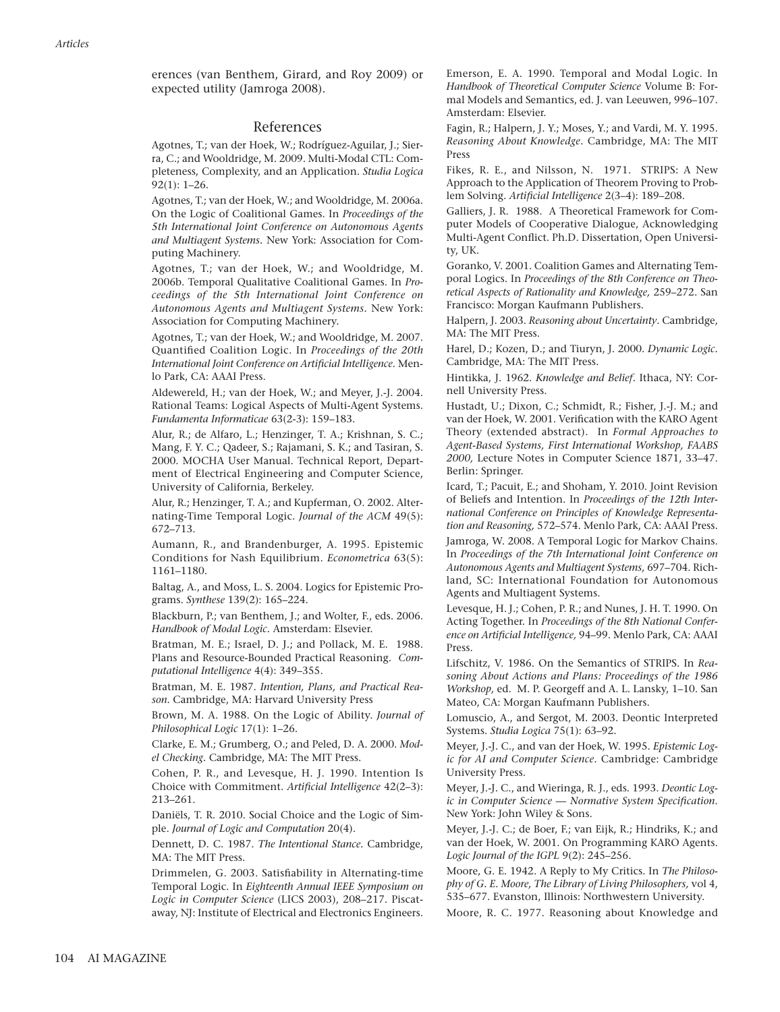erences (van Benthem, Girard, and Roy 2009) or expected utility (Jamroga 2008).

#### References

Agotnes, T.; van der Hoek, W.; Rodríguez-Aguilar, J.; Sierra, C.; and Wooldridge, M. 2009. Multi-Modal CTL: Completeness, Complexity, and an Application. *Studia Logica* 92(1): 1–26.

Agotnes, T.; van der Hoek, W.; and Wooldridge, M. 2006a. On the Logic of Coalitional Games. In *Proceedings of the 5th International Joint Conference on Autonomous Agents and Multiagent Systems.* New York: Association for Computing Machinery.

Agotnes, T.; van der Hoek, W.; and Wooldridge, M. 2006b. Temporal Qualitative Coalitional Games. In *Proceedings of the 5th International Joint Conference on Autonomous Agents and Multiagent Systems.* New York: Association for Computing Machinery.

Agotnes, T.; van der Hoek, W.; and Wooldridge, M. 2007. Quantified Coalition Logic. In *Proceedings of the 20th International Joint Conference on Artificial Intelligence.* Menlo Park, CA: AAAI Press.

Aldewereld, H.; van der Hoek, W.; and Meyer, J.-J. 2004. Rational Teams: Logical Aspects of Multi-Agent Systems. *Fundamenta Informaticae* 63(2-3): 159–183.

Alur, R.; de Alfaro, L.; Henzinger, T. A.; Krishnan, S. C.; Mang, F. Y. C.; Qadeer, S.; Rajamani, S. K.; and Tasiran, S. 2000. MOCHA User Manual. Technical Report, Department of Electrical Engineering and Computer Science, University of California, Berkeley.

Alur, R.; Henzinger, T. A.; and Kupferman, O. 2002. Alternating-Time Temporal Logic. *Journal of the ACM* 49(5): 672–713.

Aumann, R., and Brandenburger, A. 1995. Epistemic Conditions for Nash Equilibrium. *Econometrica* 63(5): 1161–1180.

Baltag, A., and Moss, L. S. 2004. Logics for Epistemic Programs. *Synthese* 139(2): 165–224.

Blackburn, P.; van Benthem, J.; and Wolter, F., eds. 2006. *Handbook of Modal Logic.* Amsterdam: Elsevier.

Bratman, M. E.: Israel, D. J.: and Pollack, M. E. 1988. Plans and Resource-Bounded Practical Reasoning. *Computational Intelligence* 4(4): 349–355.

Bratman, M. E. 1987. *Intention, Plans, and Practical Reason.* Cambridge, MA: Harvard University Press

Brown, M. A. 1988. On the Logic of Ability. *Journal of Philosophical Logic* 17(1): 1–26.

Clarke, E. M.; Grumberg, O.; and Peled, D. A. 2000. *Model Checking.* Cambridge, MA: The MIT Press.

Cohen, P. R., and Levesque, H. J. 1990. Intention Is Choice with Commitment. *Artificial Intelligence* 42(2–3): 213–261.

Daniëls, T. R. 2010. Social Choice and the Logic of Simple. *Journal of Logic and Computation* 20(4).

Dennett, D. C. 1987. *The Intentional Stance.* Cambridge, MA: The MIT Press.

Drimmelen, G. 2003. Satisfiability in Alternating-time Temporal Logic. In *Eighteenth Annual IEEE Symposium on Logic in Computer Science* (LICS 2003), 208–217. Piscataway, NJ: Institute of Electrical and Electronics Engineers.

Emerson, E. A. 1990. Temporal and Modal Logic. In *Handbook of Theoretical Computer Science* Volume B: Formal Models and Semantics, ed. J. van Leeuwen, 996–107. Amsterdam: Elsevier.

Fagin, R.; Halpern, J. Y.; Moses, Y.; and Vardi, M. Y. 1995. *Reasoning About Knowledge.* Cambridge, MA: The MIT Press

Fikes, R. E., and Nilsson, N. 1971. STRIPS: A New Approach to the Application of Theorem Proving to Problem Solving. *Artificial Intelligence* 2(3–4): 189–208.

Galliers, J. R. 1988. A Theoretical Framework for Computer Models of Cooperative Dialogue, Acknowledging Multi-Agent Conflict. Ph.D. Dissertation, Open University, UK.

Goranko, V. 2001. Coalition Games and Alternating Temporal Logics. In *Proceedings of the 8th Conference on Theoretical Aspects of Rationality and Knowledge,* 259–272. San Francisco: Morgan Kaufmann Publishers.

Halpern, J. 2003. *Reasoning about Uncertainty*. Cambridge, MA: The MIT Press.

Harel, D.; Kozen, D.; and Tiuryn, J. 2000. *Dynamic Logic.* Cambridge, MA: The MIT Press.

Hintikka, J. 1962. *Knowledge and Belief.* Ithaca, NY: Cornell University Press.

Hustadt, U.; Dixon, C.; Schmidt, R.; Fisher, J.-J. M.; and van der Hoek, W. 2001. Verification with the KARO Agent Theory (extended abstract). In *Formal Approaches to Agent-Based Systems, First International Workshop, FAABS 2000,* Lecture Notes in Computer Science 1871, 33–47. Berlin: Springer.

Icard, T.; Pacuit, E.; and Shoham, Y. 2010. Joint Revision of Beliefs and Intention. In *Proceedings of the 12th International Conference on Principles of Knowledge Representation and Reasoning,* 572–574. Menlo Park, CA: AAAI Press.

Jamroga, W. 2008. A Temporal Logic for Markov Chains. In *Proceedings of the 7th International Joint Conference on Autonomous Agents and Multiagent Systems,* 697–704. Richland, SC: International Foundation for Autonomous Agents and Multiagent Systems.

Levesque, H. J.; Cohen, P. R.; and Nunes, J. H. T. 1990. On Acting Together. In *Proceedings of the 8th National Conference on Artificial Intelligence,* 94–99. Menlo Park, CA: AAAI Press.

Lifschitz, V. 1986. On the Semantics of STRIPS. In *Reasoning About Actions and Plans: Proceedings of the 1986 Workshop,* ed. M. P. Georgeff and A. L. Lansky, 1–10. San Mateo, CA: Morgan Kaufmann Publishers.

Lomuscio, A., and Sergot, M. 2003. Deontic Interpreted Systems. *Studia Logica* 75(1): 63–92.

Meyer, J.-J. C., and van der Hoek, W. 1995. *Epistemic Logic for AI and Computer Science.* Cambridge: Cambridge University Press.

Meyer, J.-J. C., and Wieringa, R. J., eds. 1993. *Deontic Logic in Computer Science — Normative System Specification.* New York: John Wiley & Sons.

Meyer, J.-J. C.; de Boer, F.; van Eijk, R.; Hindriks, K.; and van der Hoek, W. 2001. On Programming KARO Agents. *Logic Journal of the IGPL* 9(2): 245–256.

Moore, G. E. 1942. A Reply to My Critics. In *The Philosophy of G. E. Moore, The Library of Living Philosophers,* vol 4, 535–677. Evanston, Illinois: Northwestern University.

Moore, R. C. 1977. Reasoning about Knowledge and